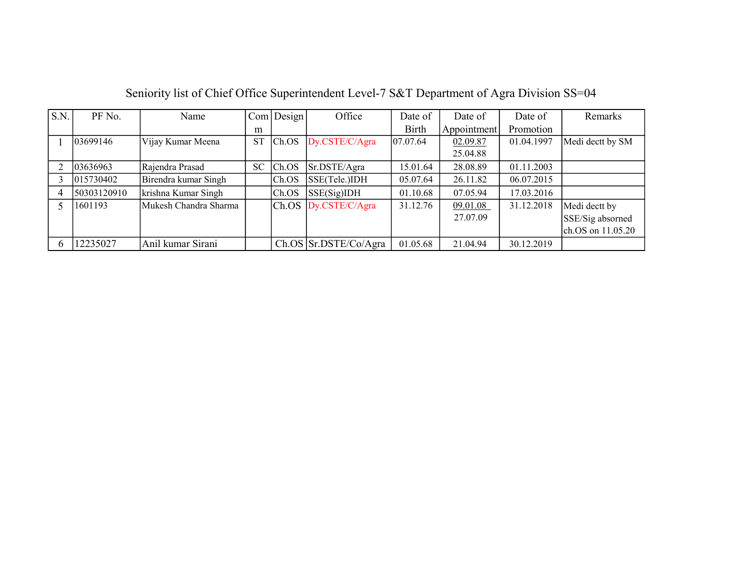| S.N.     | PF No.      | Name                  |           | $Com$ Design | Office                    | Date of      | Date of     | Date of    | Remarks           |
|----------|-------------|-----------------------|-----------|--------------|---------------------------|--------------|-------------|------------|-------------------|
|          |             |                       | m         |              |                           | <b>Birth</b> | Appointment | Promotion  |                   |
|          | 03699146    | Vijay Kumar Meena     | <b>ST</b> | Ch.OS        | Dy.CSTE/C/Agra            | 07.07.64     | 02.09.87    | 01.04.1997 | Medi dectt by SM  |
|          |             |                       |           |              |                           |              | 25.04.88    |            |                   |
|          | 03636963    | Rajendra Prasad       | SC.       | ICh.OS       | Sr.DSTE/Agra              | 15.01.64     | 28.08.89    | 01.11.2003 |                   |
|          | 015730402   | Birendra kumar Singh  |           | Ch.OS        | SSE(Tele.)IDH             | 05.07.64     | 26.11.82    | 06.07.2015 |                   |
|          | 50303120910 | krishna Kumar Singh   |           | Ch.OS        | SSE(Sig)IDH               | 01.10.68     | 07.05.94    | 17.03.2016 |                   |
|          | 1601193     | Mukesh Chandra Sharma |           |              | $Ch. OS$ $Dy.CSTE/C/Agra$ | 31.12.76     | 09.01.08    | 31.12.2018 | Medi dectt by     |
|          |             |                       |           |              |                           |              | 27.07.09    |            | SSE/Sig absorned  |
|          |             |                       |           |              |                           |              |             |            | ch.OS on 11.05.20 |
| $\sigma$ | 12235027    | Anil kumar Sirani     |           |              | Ch. OS   Sr. DSTE/Co/Agra | 01.05.68     | 21.04.94    | 30.12.2019 |                   |

Seniority list of Chief Office Superintendent Level-7 S&T Department of Agra Division SS=04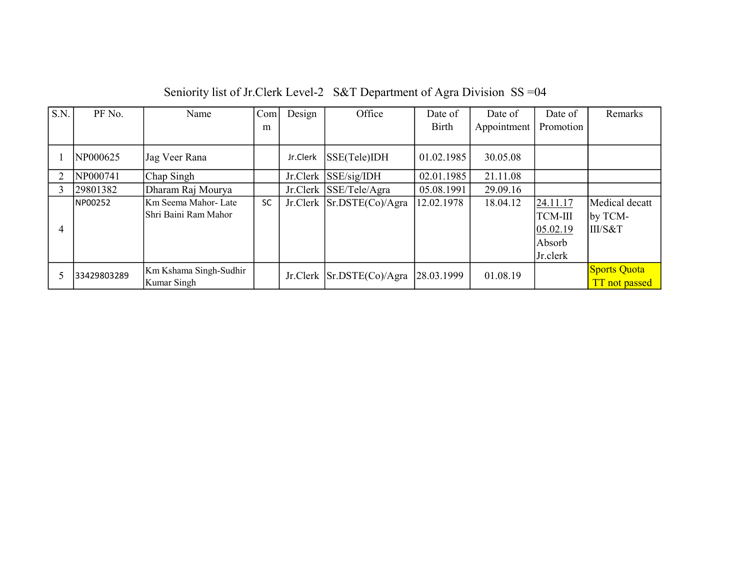| $\overline{S.N.}$ | PF No.      | Name                   | Com       | Design   | Office                         | Date of      | Date of     | Date of        | Remarks        |
|-------------------|-------------|------------------------|-----------|----------|--------------------------------|--------------|-------------|----------------|----------------|
|                   |             |                        | m         |          |                                | <b>Birth</b> | Appointment | Promotion      |                |
|                   |             |                        |           |          |                                |              |             |                |                |
|                   | NP000625    | Jag Veer Rana          |           | Jr.Clerk | SSE(Tele)IDH                   | 01.02.1985   | 30.05.08    |                |                |
|                   | NP000741    | Chap Singh             |           |          | Jr.Clerk SSE/sig/IDH           | 02.01.1985   | 21.11.08    |                |                |
|                   | 29801382    | Dharam Raj Mourya      |           |          | Jr.Clerk SSE/Tele/Agra         | 05.08.1991   | 29.09.16    |                |                |
|                   | NP00252     | Km Seema Mahor-Late    | <b>SC</b> |          | Jr.Clerk Sr.DSTE(Co)/Agra      | 12.02.1978   | 18.04.12    | 24.11.17       | Medical decatt |
|                   |             | lShri Baini Ram Mahor  |           |          |                                |              |             | <b>TCM-III</b> | by TCM-        |
| 4                 |             |                        |           |          |                                |              |             | 05.02.19       | III/S&T        |
|                   |             |                        |           |          |                                |              |             | Absorb         |                |
|                   |             |                        |           |          |                                |              |             | Jr.clerk       |                |
|                   | 33429803289 | Km Kshama Singh-Sudhir |           |          | $Jr.Clerk$ Sr.DSTE $(Co)/Agra$ | 28.03.1999   | 01.08.19    |                | Sports Quota   |
|                   |             | Kumar Singh            |           |          |                                |              |             |                | TT not passed  |

Seniority list of Jr.Clerk Level-2 S&T Department of Agra Division SS =04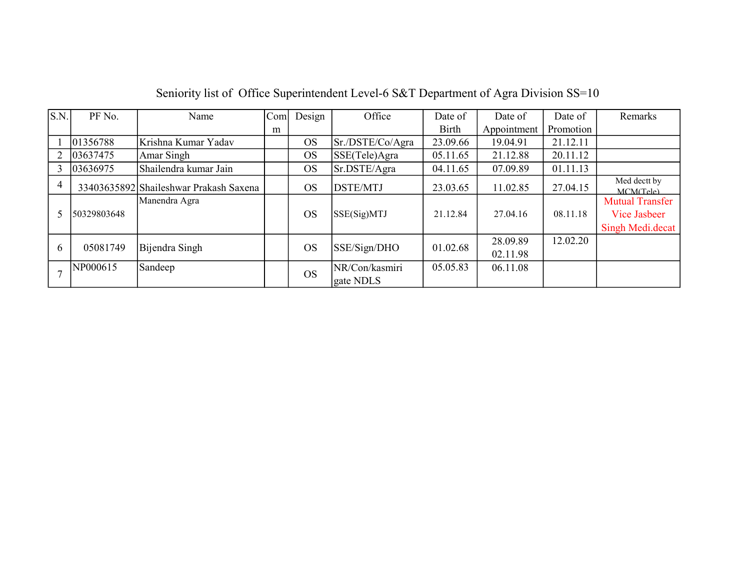| S.N.           | PF No.      | Name                                   | Com <sub>l</sub> | Design    | Office                      | Date of      | Date of              | Date of   | Remarks                                                    |
|----------------|-------------|----------------------------------------|------------------|-----------|-----------------------------|--------------|----------------------|-----------|------------------------------------------------------------|
|                |             |                                        | m                |           |                             | <b>Birth</b> | Appointment          | Promotion |                                                            |
|                | 01356788    | Krishna Kumar Yadav                    |                  | <b>OS</b> | Sr./DSTE/Co/Agra            | 23.09.66     | 19.04.91             | 21.12.11  |                                                            |
| $\overline{2}$ | 03637475    | Amar Singh                             |                  | <b>OS</b> | SSE(Tele)Agra               | 05.11.65     | 21.12.88             | 20.11.12  |                                                            |
| 3              | 03636975    | Shailendra kumar Jain                  |                  | <b>OS</b> | Sr.DSTE/Agra                | 04.11.65     | 07.09.89             | 01.11.13  |                                                            |
| 4              |             | 33403635892 Shaileshwar Prakash Saxena |                  | <b>OS</b> | <b>DSTE/MTJ</b>             | 23.03.65     | 11.02.85             | 27.04.15  | Med dectt by<br>MCM(Tele)                                  |
| 5              | 50329803648 | Manendra Agra                          |                  | <b>OS</b> | SSE(Sig)MTJ                 | 21.12.84     | 27.04.16             | 08.11.18  | <b>Mutual Transfer</b><br>Vice Jasbeer<br>Singh Medi.decat |
| 6              | 05081749    | Bijendra Singh                         |                  | <b>OS</b> | SSE/Sign/DHO                | 01.02.68     | 28.09.89<br>02.11.98 | 12.02.20  |                                                            |
|                | NP000615    | Sandeep                                |                  | <b>OS</b> | NR/Con/kasmiri<br>gate NDLS | 05.05.83     | 06.11.08             |           |                                                            |

## Seniority list of Office Superintendent Level-6 S&T Department of Agra Division SS=10